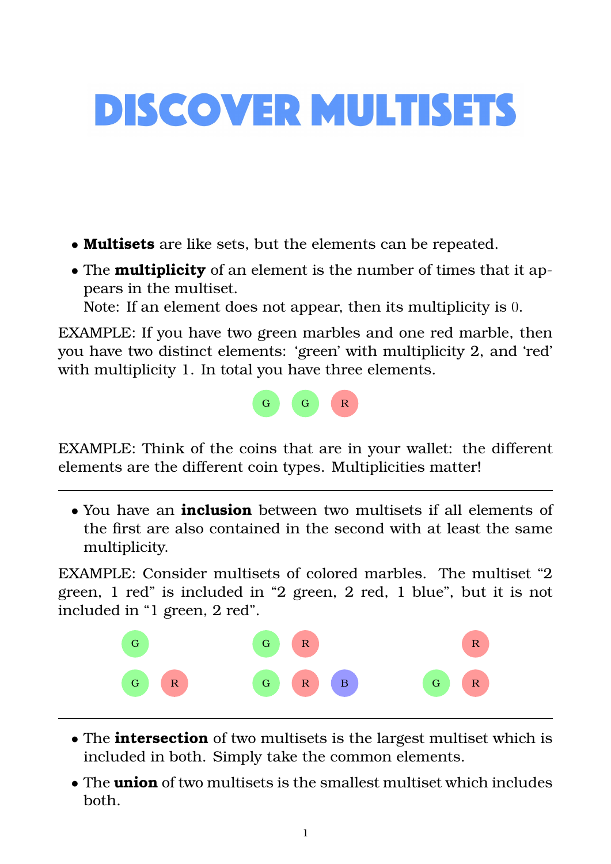## **DISCOVER MULTISETS**

- **Multisets** are like sets, but the elements can be repeated.
- The **multiplicity** of an element is the number of times that it appears in the multiset.
	- Note: If an element does not appear, then its multiplicity is 0.

EXAMPLE: If you have two green marbles and one red marble, then you have two distinct elements: 'green' with multiplicity 2, and 'red' with multiplicity 1. In total you have three elements.



EXAMPLE: Think of the coins that are in your wallet: the different elements are the different coin types. Multiplicities matter!

• You have an **inclusion** between two multisets if all elements of the first are also contained in the second with at least the same multiplicity.

EXAMPLE: Consider multisets of colored marbles. The multiset "2 green, 1 red" is included in "2 green, 2 red, 1 blue", but it is not included in "1 green, 2 red".



- The **intersection** of two multisets is the largest multiset which is included in both. Simply take the common elements.
- The **union** of two multisets is the smallest multiset which includes both.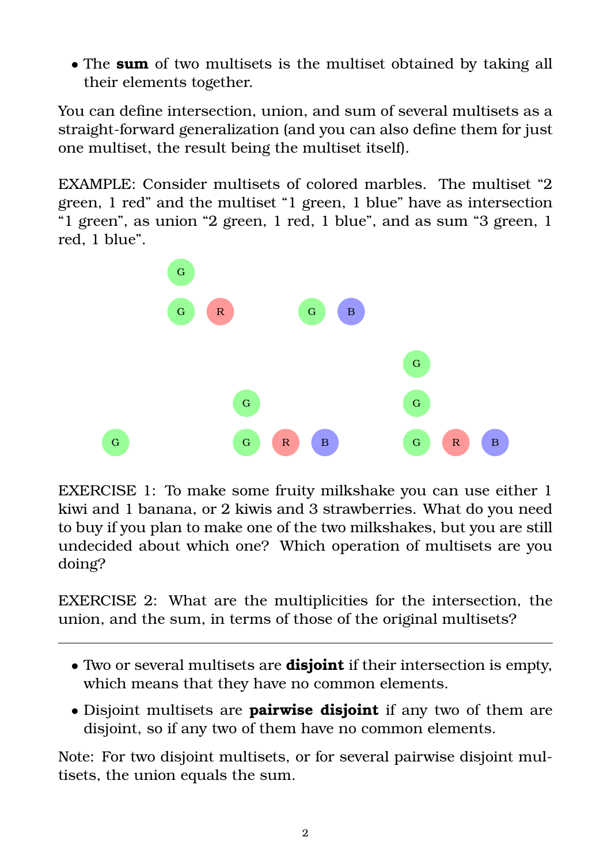• The **sum** of two multisets is the multiset obtained by taking all their elements together.

You can define intersection, union, and sum of several multisets as a straight-forward generalization (and you can also define them for just one multiset, the result being the multiset itself).

EXAMPLE: Consider multisets of colored marbles. The multiset "2 green, 1 red" and the multiset "1 green, 1 blue" have as intersection "1 green", as union "2 green, 1 red, 1 blue", and as sum "3 green, 1 red, 1 blue".



EXERCISE 1: To make some fruity milkshake you can use either 1 kiwi and 1 banana, or 2 kiwis and 3 strawberries. What do you need to buy if you plan to make one of the two milkshakes, but you are still undecided about which one? Which operation of multisets are you doing?

EXERCISE 2: What are the multiplicities for the intersection, the union, and the sum, in terms of those of the original multisets?

- Two or several multisets are **disjoint** if their intersection is empty, which means that they have no common elements.
- Disjoint multisets are **pairwise disjoint** if any two of them are disjoint, so if any two of them have no common elements.

Note: For two disjoint multisets, or for several pairwise disjoint multisets, the union equals the sum.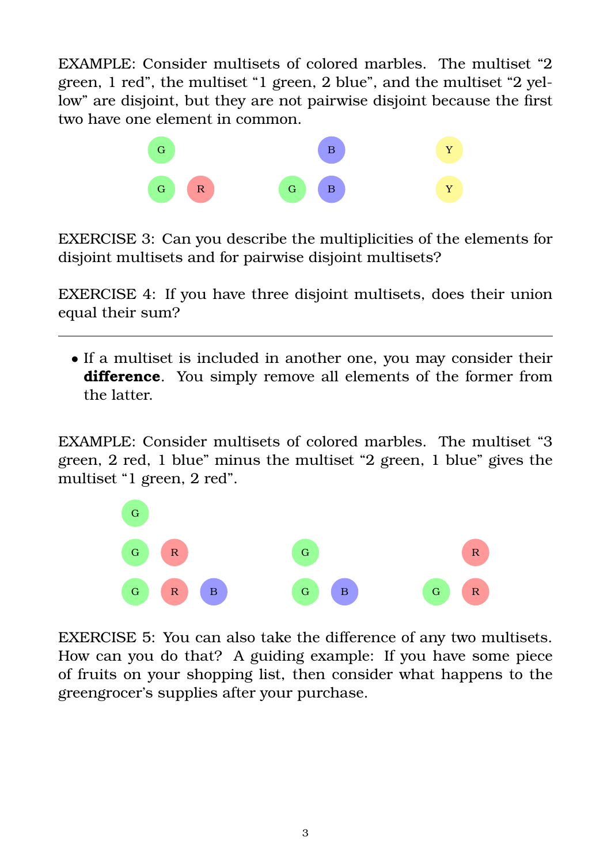EXAMPLE: Consider multisets of colored marbles. The multiset "2 green, 1 red", the multiset "1 green, 2 blue", and the multiset "2 yellow" are disjoint, but they are not pairwise disjoint because the first two have one element in common.



EXERCISE 3: Can you describe the multiplicities of the elements for disjoint multisets and for pairwise disjoint multisets?

EXERCISE 4: If you have three disjoint multisets, does their union equal their sum?

• If a multiset is included in another one, you may consider their **difference**. You simply remove all elements of the former from the latter.

EXAMPLE: Consider multisets of colored marbles. The multiset "3 green, 2 red, 1 blue" minus the multiset "2 green, 1 blue" gives the multiset "1 green, 2 red".



EXERCISE 5: You can also take the difference of any two multisets. How can you do that? A guiding example: If you have some piece of fruits on your shopping list, then consider what happens to the greengrocer's supplies after your purchase.